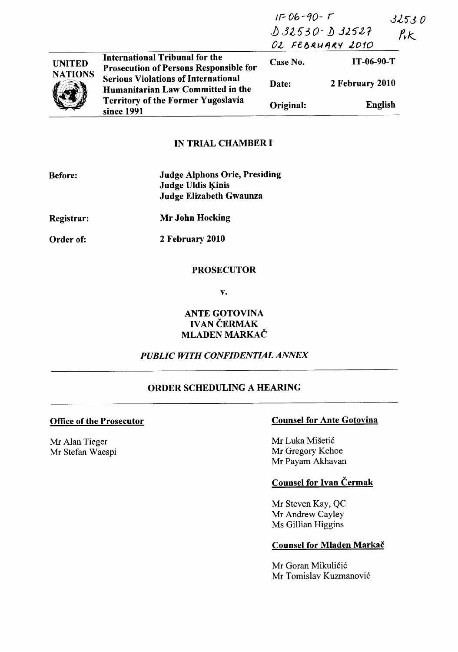|                |                                                                                                                                            | $IF06-90-7$<br>$032530 - 032527$<br>OL FEBRUARY 2010 |                 | 32530<br>$P_{\nu}$ |
|----------------|--------------------------------------------------------------------------------------------------------------------------------------------|------------------------------------------------------|-----------------|--------------------|
| <b>UNITED</b>  | <b>International Tribunal for the</b><br><b>Prosecution of Persons Responsible for</b>                                                     | Case No.                                             | $IT-06-90-T$    |                    |
| <b>NATIONS</b> | <b>Serious Violations of International</b><br>Humanitarian Law Committed in the<br><b>Territory of the Former Yugoslavia</b><br>since 1991 | Date:                                                | 2 February 2010 |                    |
|                |                                                                                                                                            | Original:                                            | English         |                    |

# IN TRIAL CHAMBER I

| <b>Before:</b>    | <b>Judge Alphons Orie, Presiding</b><br><b>Judge Uldis Kinis</b><br>Judge Elizabeth Gwaunza |
|-------------------|---------------------------------------------------------------------------------------------|
| <b>Registrar:</b> | <b>Mr John Hocking</b>                                                                      |
| Order of:         | 2 February 2010                                                                             |

### **PROSECUTOR**

v.

# ANTE GOTOVINA IVAN ČERMAK MLADEN MARKAČ

# *PUBLIC WITH CONFIDENTIAL ANNEX*

# ORDER SCHEDULING A HEARING

Mr Alan Tieger Mr Stefan Waespi

# Office of the Prosecutor Counsel for Ante Gotovina

Mr Luka Mišetić Mr Gregory Kehoe Mr Payam Akhavan

# Counsel for Ivan Čermak

Mr Steven Kay, QC Mr Andrew Cayley Ms Gillian Higgins

#### Counsel for Mladen Markac

Mr Goran Mikuličić Mr Tomislav Kuzmanović